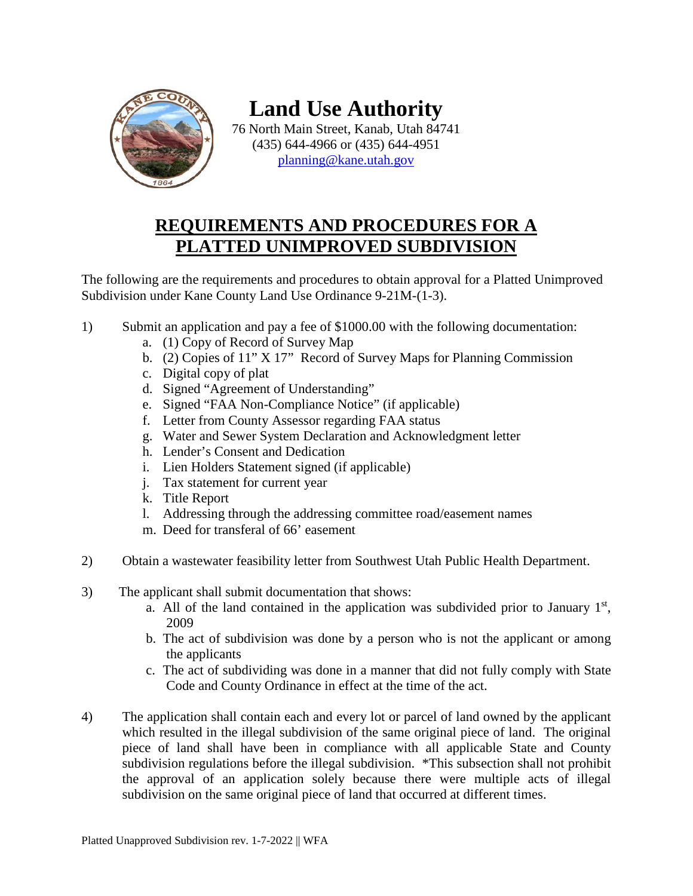

**Land Use Authority**

76 North Main Street, Kanab, Utah 84741 (435) 644-4966 or (435) 644-4951 [planning@kane.utah.gov](mailto:planning@kane.utah.gov)

# **REQUIREMENTS AND PROCEDURES FOR A PLATTED UNIMPROVED SUBDIVISION**

The following are the requirements and procedures to obtain approval for a Platted Unimproved Subdivision under Kane County Land Use Ordinance 9-21M-(1-3).

- 1) Submit an application and pay a fee of \$1000.00 with the following documentation:
	- a. (1) Copy of Record of Survey Map
	- b. (2) Copies of 11" X 17" Record of Survey Maps for Planning Commission
	- c. Digital copy of plat
	- d. Signed "Agreement of Understanding"
	- e. Signed "FAA Non-Compliance Notice" (if applicable)
	- f. Letter from County Assessor regarding FAA status
	- g. Water and Sewer System Declaration and Acknowledgment letter
	- h. Lender's Consent and Dedication
	- i. Lien Holders Statement signed (if applicable)
	- j. Tax statement for current year
	- k. Title Report
	- l. Addressing through the addressing committee road/easement names
	- m. Deed for transferal of 66' easement
- 2) Obtain a wastewater feasibility letter from Southwest Utah Public Health Department.
- 3) The applicant shall submit documentation that shows:
	- a. All of the land contained in the application was subdivided prior to January  $1<sup>st</sup>$ , 2009
	- b. The act of subdivision was done by a person who is not the applicant or among the applicants
	- c. The act of subdividing was done in a manner that did not fully comply with State Code and County Ordinance in effect at the time of the act.
- 4) The application shall contain each and every lot or parcel of land owned by the applicant which resulted in the illegal subdivision of the same original piece of land. The original piece of land shall have been in compliance with all applicable State and County subdivision regulations before the illegal subdivision. \*This subsection shall not prohibit the approval of an application solely because there were multiple acts of illegal subdivision on the same original piece of land that occurred at different times.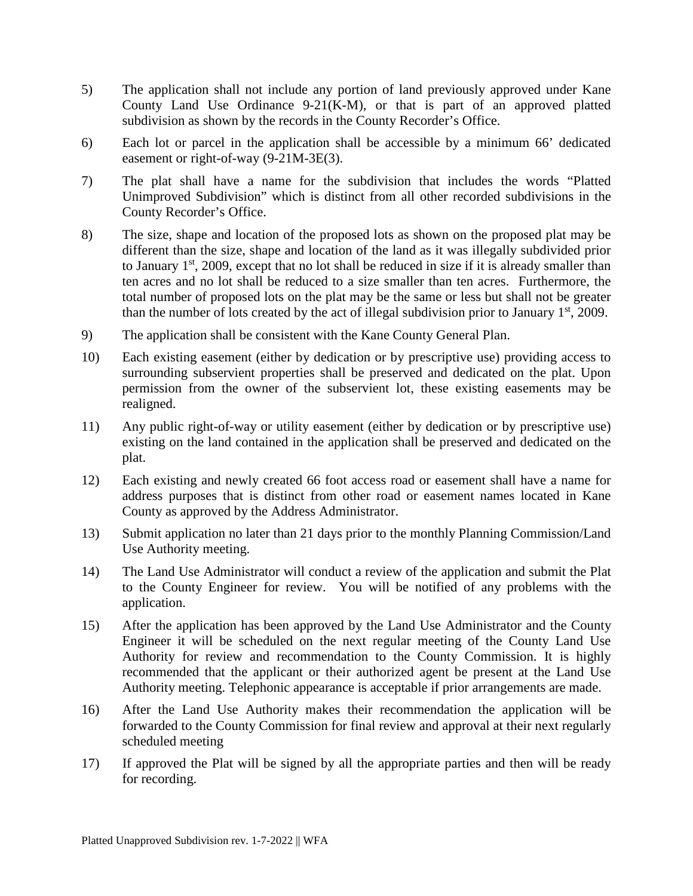- 5) The application shall not include any portion of land previously approved under Kane County Land Use Ordinance 9-21(K-M), or that is part of an approved platted subdivision as shown by the records in the County Recorder's Office.
- 6) Each lot or parcel in the application shall be accessible by a minimum 66' dedicated easement or right-of-way (9-21M-3E(3).
- 7) The plat shall have a name for the subdivision that includes the words "Platted Unimproved Subdivision" which is distinct from all other recorded subdivisions in the County Recorder's Office.
- 8) The size, shape and location of the proposed lots as shown on the proposed plat may be different than the size, shape and location of the land as it was illegally subdivided prior to January  $1<sup>st</sup>$ , 2009, except that no lot shall be reduced in size if it is already smaller than ten acres and no lot shall be reduced to a size smaller than ten acres. Furthermore, the total number of proposed lots on the plat may be the same or less but shall not be greater than the number of lots created by the act of illegal subdivision prior to January  $1<sup>st</sup>$ , 2009.
- 9) The application shall be consistent with the Kane County General Plan.
- 10) Each existing easement (either by dedication or by prescriptive use) providing access to surrounding subservient properties shall be preserved and dedicated on the plat. Upon permission from the owner of the subservient lot, these existing easements may be realigned.
- 11) Any public right-of-way or utility easement (either by dedication or by prescriptive use) existing on the land contained in the application shall be preserved and dedicated on the plat.
- 12) Each existing and newly created 66 foot access road or easement shall have a name for address purposes that is distinct from other road or easement names located in Kane County as approved by the Address Administrator.
- 13) Submit application no later than 21 days prior to the monthly Planning Commission/Land Use Authority meeting.
- 14) The Land Use Administrator will conduct a review of the application and submit the Plat to the County Engineer for review. You will be notified of any problems with the application.
- 15) After the application has been approved by the Land Use Administrator and the County Engineer it will be scheduled on the next regular meeting of the County Land Use Authority for review and recommendation to the County Commission. It is highly recommended that the applicant or their authorized agent be present at the Land Use Authority meeting. Telephonic appearance is acceptable if prior arrangements are made.
- 16) After the Land Use Authority makes their recommendation the application will be forwarded to the County Commission for final review and approval at their next regularly scheduled meeting
- 17) If approved the Plat will be signed by all the appropriate parties and then will be ready for recording.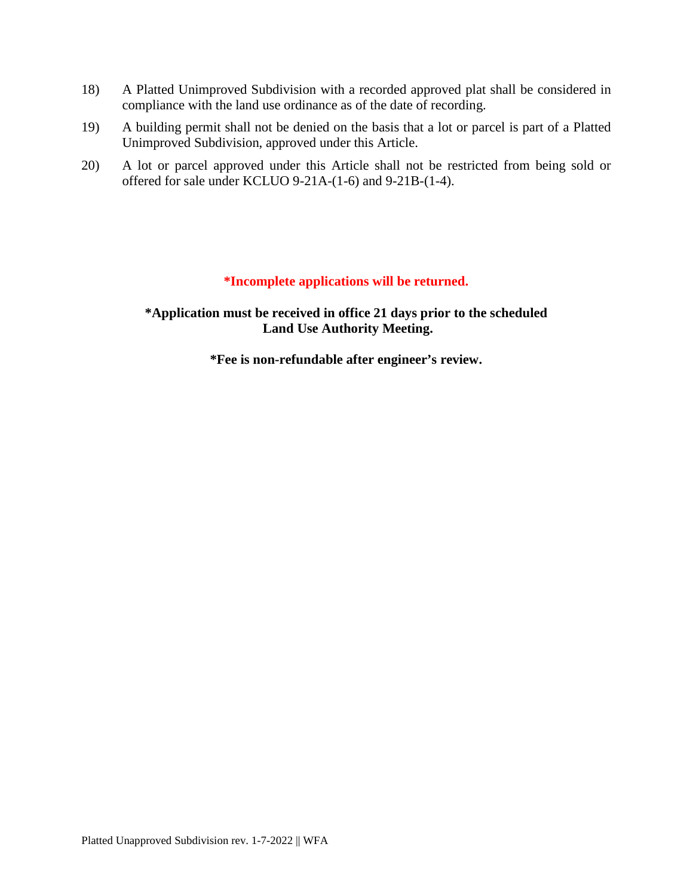- 18) A Platted Unimproved Subdivision with a recorded approved plat shall be considered in compliance with the land use ordinance as of the date of recording.
- 19) A building permit shall not be denied on the basis that a lot or parcel is part of a Platted Unimproved Subdivision, approved under this Article.
- 20) A lot or parcel approved under this Article shall not be restricted from being sold or offered for sale under KCLUO 9-21A-(1-6) and 9-21B-(1-4).

#### **\*Incomplete applications will be returned.**

**\*Application must be received in office 21 days prior to the scheduled Land Use Authority Meeting.**

**\*Fee is non-refundable after engineer's review.**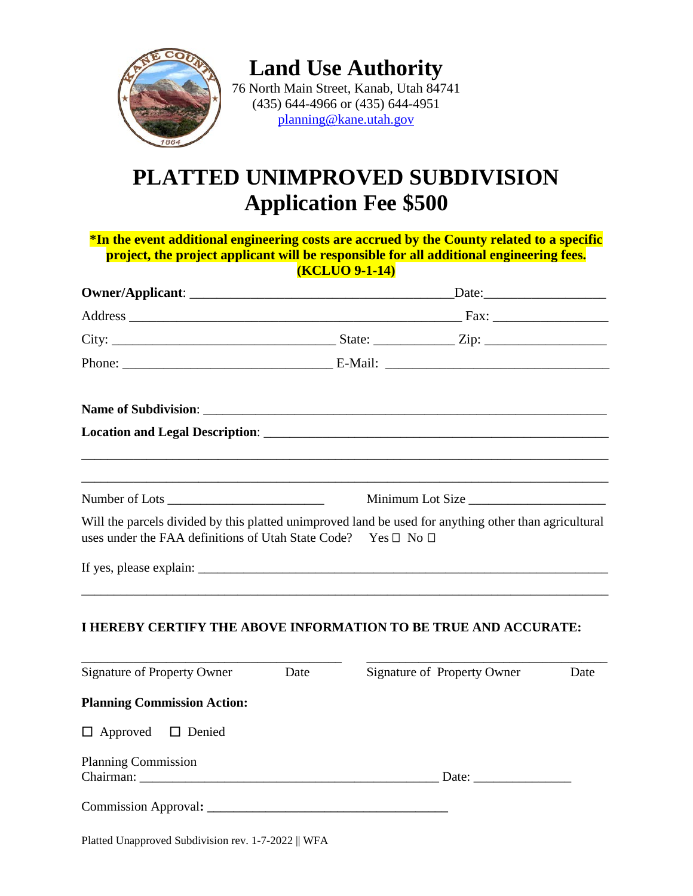

**Land Use Authority** 76 North Main Street, Kanab, Utah 84741 (435) 644-4966 or (435) 644-4951 [planning@kane.utah.gov](mailto:planning@kane.utah.gov)

# **PLATTED UNIMPROVED SUBDIVISION Application Fee \$500**

**\*In the event additional engineering costs are accrued by the County related to a specific project, the project applicant will be responsible for all additional engineering fees. (KCLUO 9-1-14)**

|                                                                                                                                                                        |      | Minimum Lot Size            |      |
|------------------------------------------------------------------------------------------------------------------------------------------------------------------------|------|-----------------------------|------|
| Will the parcels divided by this platted unimproved land be used for anything other than agricultural<br>uses under the FAA definitions of Utah State Code? Yes □ No □ |      |                             |      |
|                                                                                                                                                                        |      |                             |      |
| I HEREBY CERTIFY THE ABOVE INFORMATION TO BE TRUE AND ACCURATE:                                                                                                        |      |                             |      |
| <b>Signature of Property Owner</b>                                                                                                                                     | Date | Signature of Property Owner | Date |
| <b>Planning Commission Action:</b>                                                                                                                                     |      |                             |      |
| $\Box$ Approved $\Box$ Denied                                                                                                                                          |      |                             |      |
| <b>Planning Commission</b>                                                                                                                                             |      |                             |      |
|                                                                                                                                                                        |      |                             |      |

Platted Unapproved Subdivision rev. 1-7-2022 || WFA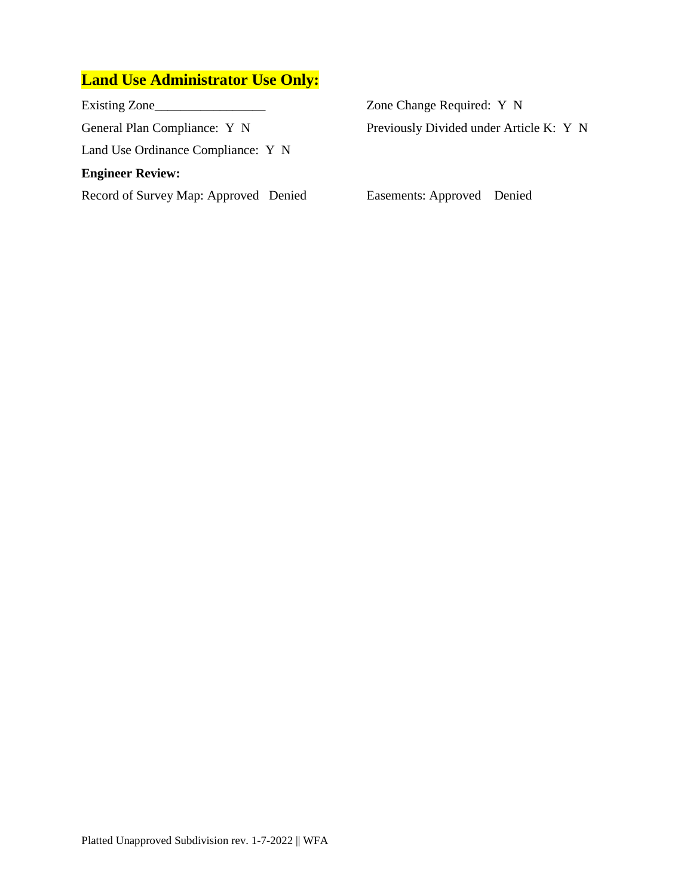## **Land Use Administrator Use Only:**

Existing Zone\_\_\_\_\_\_\_\_\_\_\_\_\_\_\_\_\_ Zone Change Required: Y N General Plan Compliance: Y N Previously Divided under Article K: Y N Land Use Ordinance Compliance: Y N **Engineer Review:** Record of Survey Map: Approved Denied Easements: Approved Denied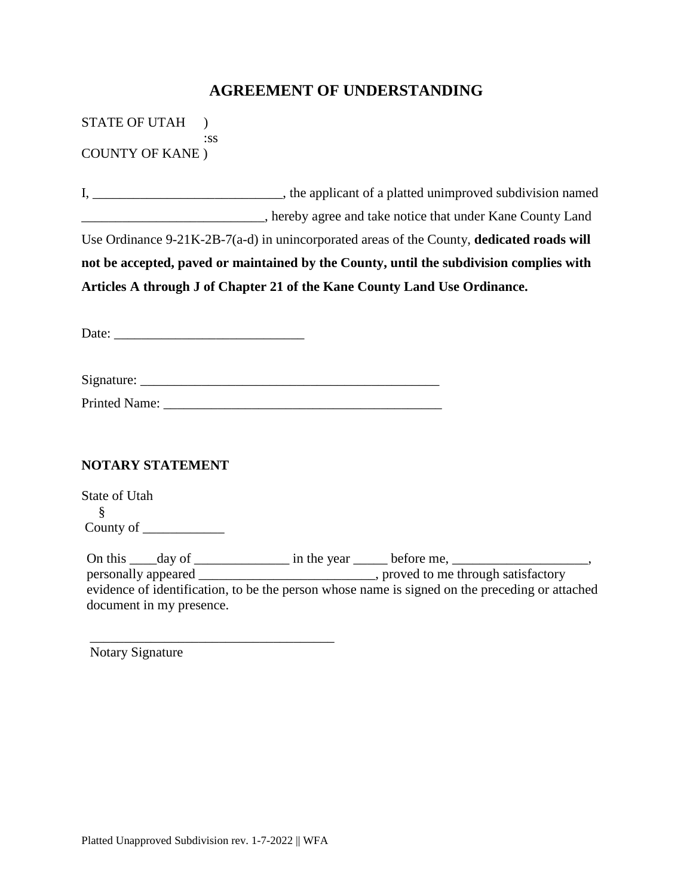### **AGREEMENT OF UNDERSTANDING**

STATE OF UTAH ) :ss COUNTY OF KANE )

I, \_\_\_\_\_\_\_\_\_\_\_\_\_\_\_\_\_\_\_\_\_\_\_\_\_\_\_\_, the applicant of a platted unimproved subdivision named \_\_\_\_\_\_\_\_\_\_\_\_\_\_\_\_\_\_\_\_\_\_\_\_\_\_\_, hereby agree and take notice that under Kane County Land Use Ordinance 9-21K-2B-7(a-d) in unincorporated areas of the County, **dedicated roads will not be accepted, paved or maintained by the County, until the subdivision complies with Articles A through J of Chapter 21 of the Kane County Land Use Ordinance.**

Date: \_\_\_\_\_\_\_\_\_\_\_\_\_\_\_\_\_\_\_\_\_\_\_\_\_\_\_\_

Signature:

Printed Name: \_\_\_\_\_\_\_\_\_\_\_\_\_\_\_\_\_\_\_\_\_\_\_\_\_\_\_\_\_\_\_\_\_\_\_\_\_\_\_\_\_

#### **NOTARY STATEMENT**

State of Utah § County of \_\_\_\_\_\_\_\_\_\_\_\_

On this \_\_\_\_day of \_\_\_\_\_\_\_\_\_\_\_\_\_\_\_ in the year \_\_\_\_\_\_ before me, \_\_\_\_\_\_\_\_\_\_\_\_\_\_\_ personally appeared \_\_\_\_\_\_\_\_\_\_\_\_\_\_\_\_\_\_\_\_\_\_\_\_\_\_\_, proved to me through satisfactory evidence of identification, to be the person whose name is signed on the preceding or attached document in my presence.

Notary Signature

\_\_\_\_\_\_\_\_\_\_\_\_\_\_\_\_\_\_\_\_\_\_\_\_\_\_\_\_\_\_\_\_\_\_\_\_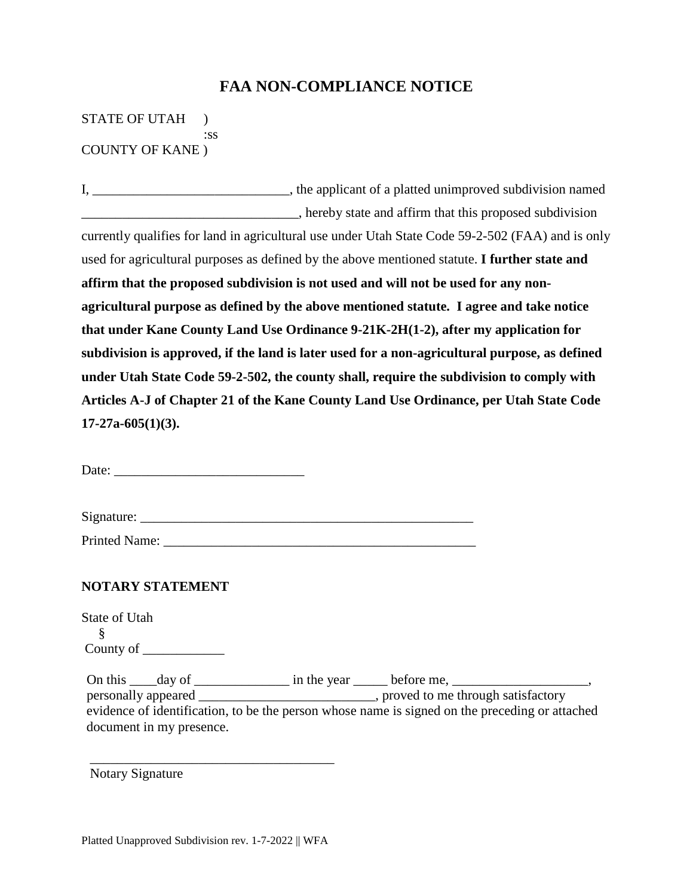### **FAA NON-COMPLIANCE NOTICE**

STATE OF UTAH ) :ss COUNTY OF KANE )

I, \_\_\_\_\_\_\_\_\_\_\_\_\_\_\_\_\_\_\_\_\_\_\_\_\_\_\_\_, the applicant of a platted unimproved subdivision named \_\_\_\_\_\_\_\_\_\_\_\_\_\_\_\_\_\_\_\_\_\_\_\_\_\_\_\_\_\_\_\_, hereby state and affirm that this proposed subdivision currently qualifies for land in agricultural use under Utah State Code 59-2-502 (FAA) and is only used for agricultural purposes as defined by the above mentioned statute. **I further state and affirm that the proposed subdivision is not used and will not be used for any nonagricultural purpose as defined by the above mentioned statute. I agree and take notice that under Kane County Land Use Ordinance 9-21K-2H(1-2), after my application for subdivision is approved, if the land is later used for a non-agricultural purpose, as defined under Utah State Code 59-2-502, the county shall, require the subdivision to comply with Articles A-J of Chapter 21 of the Kane County Land Use Ordinance, per Utah State Code 17-27a-605(1)(3).**

Date:

Signature: \_\_\_\_\_\_\_\_\_\_\_\_\_\_\_\_\_\_\_\_\_\_\_\_\_\_\_\_\_\_\_\_\_\_\_\_\_\_\_\_\_\_\_\_\_\_\_\_\_

Printed Name: \_\_\_\_\_\_\_\_\_\_\_\_\_\_\_\_\_\_\_\_\_\_\_\_\_\_\_\_\_\_\_\_\_\_\_\_\_\_\_\_\_\_\_\_\_\_

#### **NOTARY STATEMENT**

State of Utah § County of

On this \_\_\_\_day of \_\_\_\_\_\_\_\_\_\_\_\_\_\_\_\_\_\_\_ in the year \_\_\_\_\_\_\_\_ before me, \_\_\_\_\_\_\_\_\_ personally appeared \_\_\_\_\_\_\_\_\_\_\_\_\_\_\_\_\_\_\_\_\_\_\_\_\_\_, proved to me through satisfactory evidence of identification, to be the person whose name is signed on the preceding or attached document in my presence.

Notary Signature

\_\_\_\_\_\_\_\_\_\_\_\_\_\_\_\_\_\_\_\_\_\_\_\_\_\_\_\_\_\_\_\_\_\_\_\_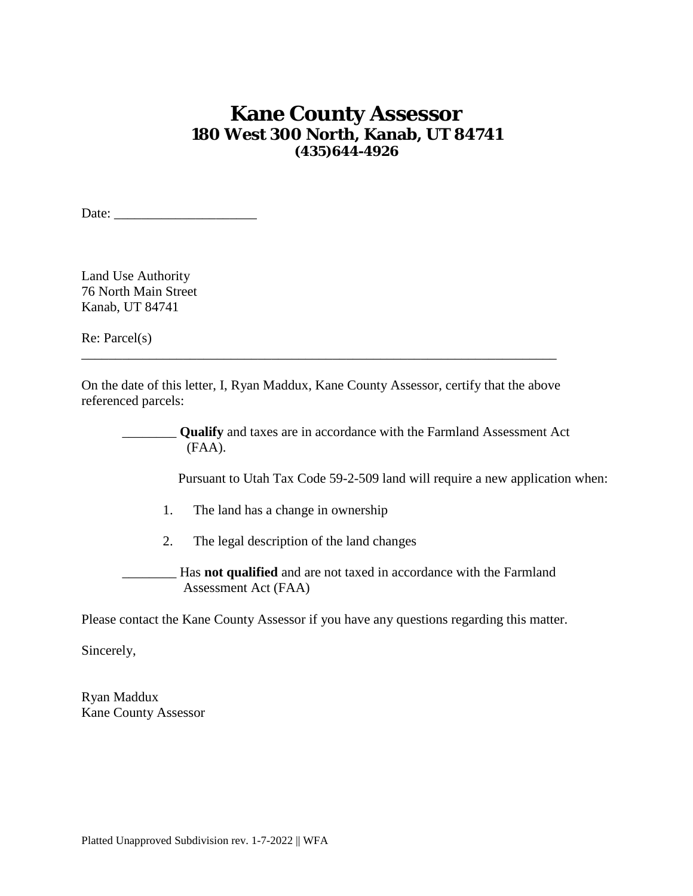## **Kane County Assessor 180 West 300 North, Kanab, UT 84741 (435)644-4926**

Date: \_\_\_\_\_\_\_\_\_\_\_\_\_\_\_\_\_\_\_\_\_

Land Use Authority 76 North Main Street Kanab, UT 84741

Re: Parcel(s)

On the date of this letter, I, Ryan Maddux, Kane County Assessor, certify that the above referenced parcels:

\_\_\_\_\_\_\_\_\_\_\_\_\_\_\_\_\_\_\_\_\_\_\_\_\_\_\_\_\_\_\_\_\_\_\_\_\_\_\_\_\_\_\_\_\_\_\_\_\_\_\_\_\_\_\_\_\_\_\_\_\_\_\_\_\_\_\_\_\_\_

\_\_\_\_\_\_\_\_ **Qualify** and taxes are in accordance with the Farmland Assessment Act (FAA).

Pursuant to Utah Tax Code 59-2-509 land will require a new application when:

- 1. The land has a change in ownership
- 2. The legal description of the land changes

\_\_\_\_\_\_\_\_ Has **not qualified** and are not taxed in accordance with the Farmland Assessment Act (FAA)

Please contact the Kane County Assessor if you have any questions regarding this matter.

Sincerely,

Ryan Maddux Kane County Assessor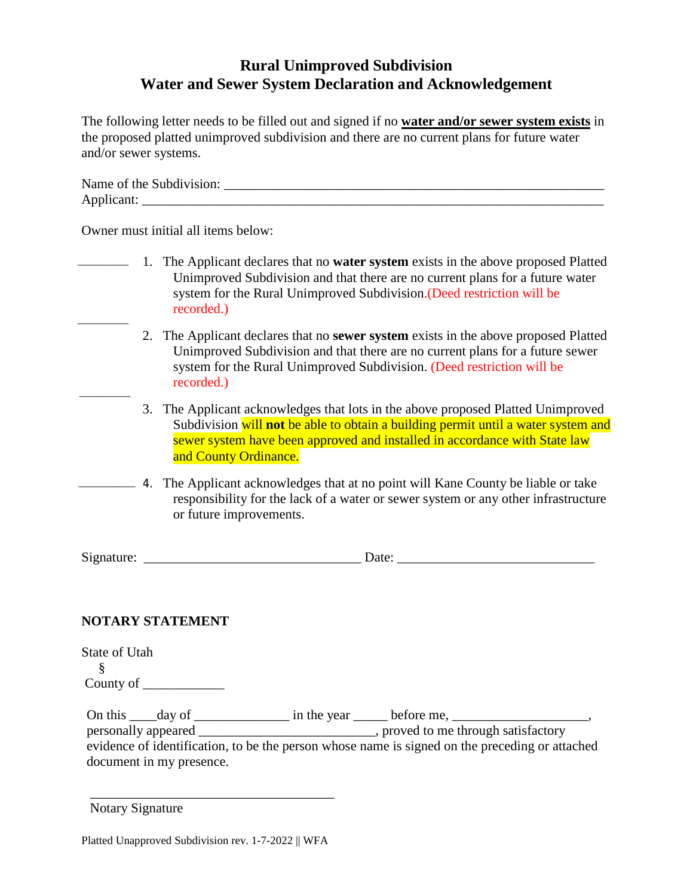## **Rural Unimproved Subdivision Water and Sewer System Declaration and Acknowledgement**

The following letter needs to be filled out and signed if no **water and/or sewer system exists** in the proposed platted unimproved subdivision and there are no current plans for future water and/or sewer systems.

| Name of the Subdivision: |  |
|--------------------------|--|
| Applicant:               |  |

Owner must initial all items below:

- 1. The Applicant declares that no **water system** exists in the above proposed Platted \_\_\_\_\_\_\_\_\_ Unimproved Subdivision and that there are no current plans for a future water system for the Rural Unimproved Subdivision.(Deed restriction will be recorded.) \_\_\_\_\_\_\_\_\_
	- 2. The Applicant declares that no **sewer system** exists in the above proposed Platted Unimproved Subdivision and that there are no current plans for a future sewer system for the Rural Unimproved Subdivision. (Deed restriction will be recorded.)
	- 3. The Applicant acknowledges that lots in the above proposed Platted Unimproved Subdivision will **not** be able to obtain a building permit until a water system and sewer system have been approved and installed in accordance with State law and County Ordinance.
- 4. The Applicant acknowledges that at no point will Kane County be liable or take \_\_\_\_\_\_\_\_\_\_responsibility for the lack of a water or sewer system or any other infrastructure or future improvements.

Signature:  $\Box$ 

#### **NOTARY STATEMENT**

 $\overline{\phantom{a}}$ 

| State of Utah |  |  |
|---------------|--|--|
|               |  |  |
| County of     |  |  |
|               |  |  |

On this \_\_\_\_day of \_\_\_\_\_\_\_\_\_\_\_\_\_\_\_ in the year \_\_\_\_\_\_ before me, personally appeared \_\_\_\_\_\_\_\_\_\_\_\_\_\_\_\_\_\_\_\_\_\_\_\_\_\_, proved to me through satisfactory evidence of identification, to be the person whose name is signed on the preceding or attached document in my presence.

Notary Signature

\_\_\_\_\_\_\_\_\_\_\_\_\_\_\_\_\_\_\_\_\_\_\_\_\_\_\_\_\_\_\_\_\_\_\_\_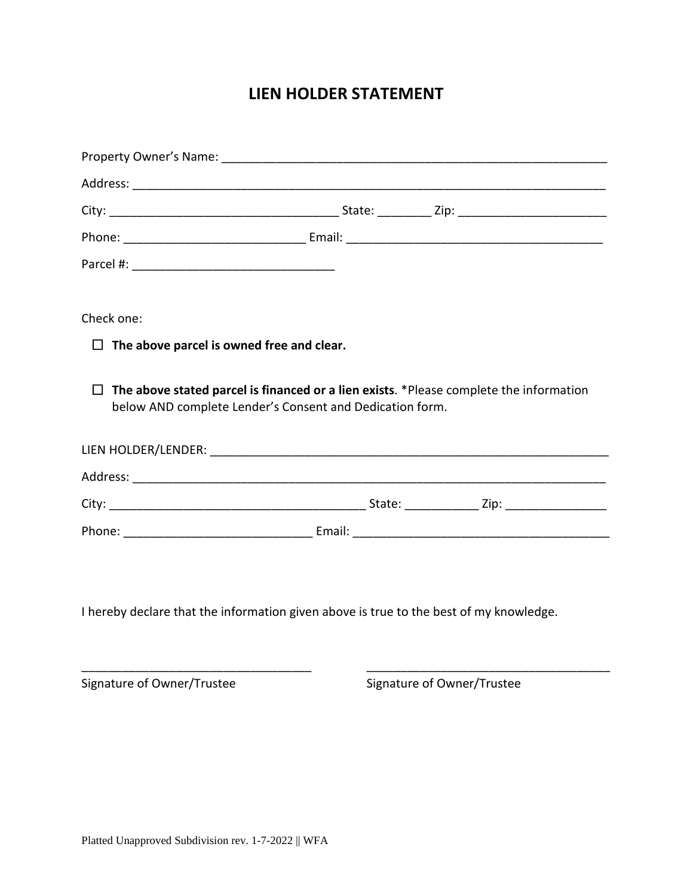## **LIEN HOLDER STATEMENT**

| Check one:                                                                             |                                                                                        |  |
|----------------------------------------------------------------------------------------|----------------------------------------------------------------------------------------|--|
| The above parcel is owned free and clear.<br>$\Box$                                    |                                                                                        |  |
| $\Box$<br>below AND complete Lender's Consent and Dedication form.                     | The above stated parcel is financed or a lien exists. *Please complete the information |  |
|                                                                                        |                                                                                        |  |
|                                                                                        |                                                                                        |  |
|                                                                                        |                                                                                        |  |
|                                                                                        |                                                                                        |  |
|                                                                                        |                                                                                        |  |
| I hereby declare that the information given above is true to the best of my knowledge. |                                                                                        |  |

\_\_\_\_\_\_\_\_\_\_\_\_\_\_\_\_\_\_\_\_\_\_\_\_\_\_\_\_\_\_\_\_\_\_ \_\_\_\_\_\_\_\_\_\_\_\_\_\_\_\_\_\_\_\_\_\_\_\_\_\_\_\_\_\_\_\_\_\_\_\_

Signature of Owner/Trustee Signature of Owner/Trustee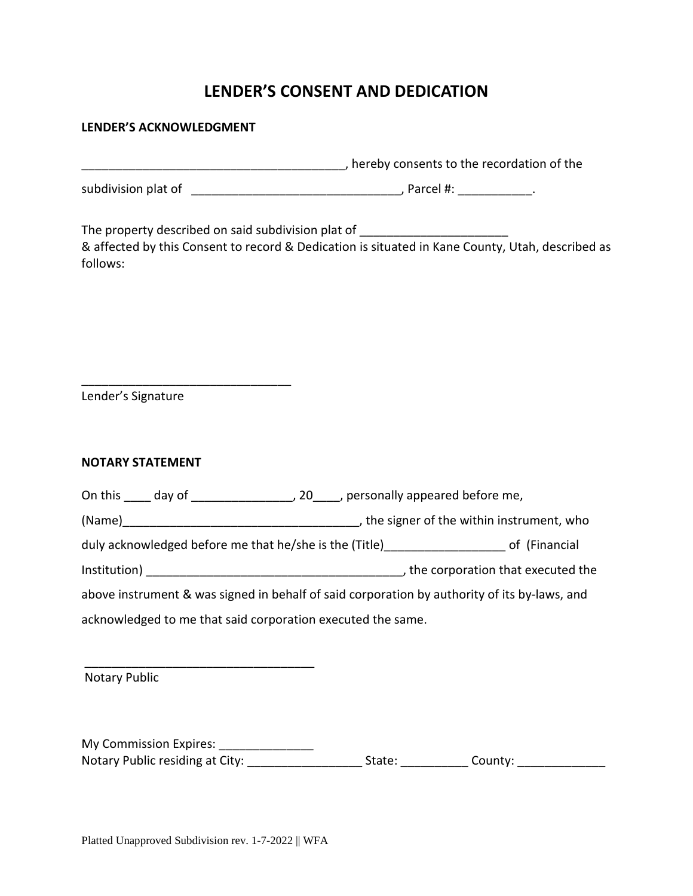## **LENDER'S CONSENT AND DEDICATION**

#### **LENDER'S ACKNOWLEDGMENT**

| Thereby consents to the recordation of the electric contract to the recordation of the                                                                                                                                       |  |  |  |
|------------------------------------------------------------------------------------------------------------------------------------------------------------------------------------------------------------------------------|--|--|--|
|                                                                                                                                                                                                                              |  |  |  |
| The property described on said subdivision plat of <b>The property described on said subdivision plat of</b><br>& affected by this Consent to record & Dedication is situated in Kane County, Utah, described as<br>follows: |  |  |  |
| Lender's Signature                                                                                                                                                                                                           |  |  |  |
| <b>NOTARY STATEMENT</b>                                                                                                                                                                                                      |  |  |  |
|                                                                                                                                                                                                                              |  |  |  |
|                                                                                                                                                                                                                              |  |  |  |
| duly acknowledged before me that he/she is the (Title) by the controller of (Financial                                                                                                                                       |  |  |  |
|                                                                                                                                                                                                                              |  |  |  |
| above instrument & was signed in behalf of said corporation by authority of its by-laws, and                                                                                                                                 |  |  |  |
| acknowledged to me that said corporation executed the same.                                                                                                                                                                  |  |  |  |
| <b>Notary Public</b>                                                                                                                                                                                                         |  |  |  |
|                                                                                                                                                                                                                              |  |  |  |

My Commission Expires: \_\_\_\_\_\_\_\_\_\_\_\_\_\_\_\_ Notary Public residing at City: \_\_\_\_\_\_\_\_\_\_\_\_\_\_\_\_\_\_\_\_\_\_\_State: \_\_\_\_\_\_\_\_\_\_\_\_\_\_County: \_\_\_\_\_\_\_\_\_\_\_\_\_\_\_\_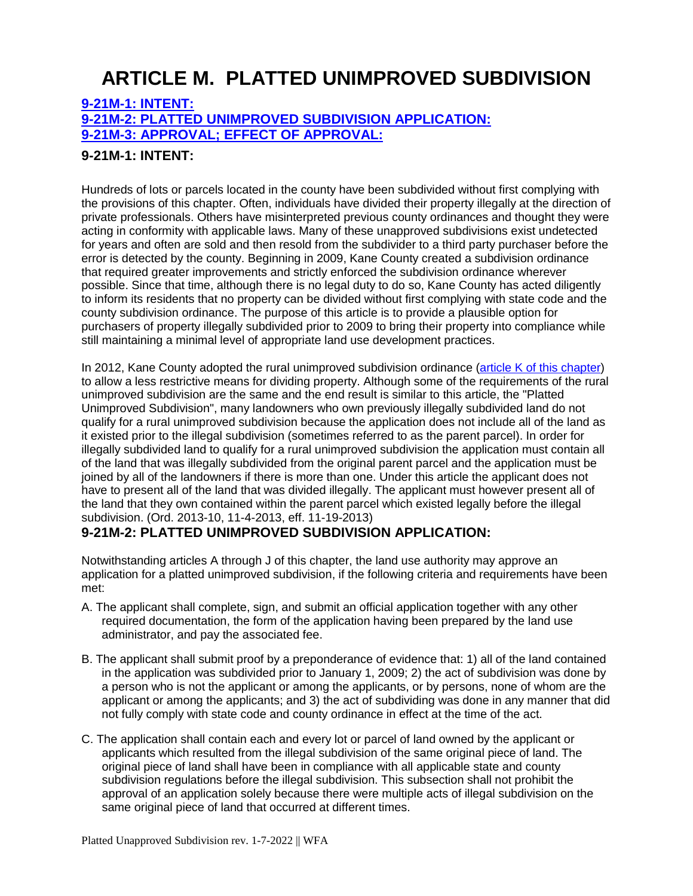# **ARTICLE M. PLATTED UNIMPROVED SUBDIVISION**

#### **[9-21M-1: INTENT:](https://www.sterlingcodifiers.com/codebook/getBookData.php?id=&chapter_id=84050&keywords=#s1238492) [9-21M-2: PLATTED UNIMPROVED SUBDIVISION APPLICATION:](https://www.sterlingcodifiers.com/codebook/getBookData.php?id=&chapter_id=84050&keywords=#s1238493) [9-21M-3: APPROVAL; EFFECT OF APPROVAL:](https://www.sterlingcodifiers.com/codebook/getBookData.php?id=&chapter_id=84050&keywords=#s1238494)**

#### **9-21M-1: INTENT:**

Hundreds of lots or parcels located in the county have been subdivided without first complying with the provisions of this chapter. Often, individuals have divided their property illegally at the direction of private professionals. Others have misinterpreted previous county ordinances and thought they were acting in conformity with applicable laws. Many of these unapproved subdivisions exist undetected for years and often are sold and then resold from the subdivider to a third party purchaser before the error is detected by the county. Beginning in 2009, Kane County created a subdivision ordinance that required greater improvements and strictly enforced the subdivision ordinance wherever possible. Since that time, although there is no legal duty to do so, Kane County has acted diligently to inform its residents that no property can be divided without first complying with state code and the county subdivision ordinance. The purpose of this article is to provide a plausible option for purchasers of property illegally subdivided prior to 2009 to bring their property into compliance while still maintaining a minimal level of appropriate land use development practices.

In 2012, Kane County adopted the rural unimproved subdivision ordinance [\(article K of this chapter\)](https://www.sterlingcodifiers.com/codebook/getBookData.php?ft=7&find=K) to allow a less restrictive means for dividing property. Although some of the requirements of the rural unimproved subdivision are the same and the end result is similar to this article, the "Platted Unimproved Subdivision", many landowners who own previously illegally subdivided land do not qualify for a rural unimproved subdivision because the application does not include all of the land as it existed prior to the illegal subdivision (sometimes referred to as the parent parcel). In order for illegally subdivided land to qualify for a rural unimproved subdivision the application must contain all of the land that was illegally subdivided from the original parent parcel and the application must be joined by all of the landowners if there is more than one. Under this article the applicant does not have to present all of the land that was divided illegally. The applicant must however present all of the land that they own contained within the parent parcel which existed legally before the illegal subdivision. (Ord. 2013-10, 11-4-2013, eff. 11-19-2013)

#### **9-21M-2: PLATTED UNIMPROVED SUBDIVISION APPLICATION:**

Notwithstanding articles A through J of this chapter, the land use authority may approve an application for a platted unimproved subdivision, if the following criteria and requirements have been met:

- A. The applicant shall complete, sign, and submit an official application together with any other required documentation, the form of the application having been prepared by the land use administrator, and pay the associated fee.
- B. The applicant shall submit proof by a preponderance of evidence that: 1) all of the land contained in the application was subdivided prior to January 1, 2009; 2) the act of subdivision was done by a person who is not the applicant or among the applicants, or by persons, none of whom are the applicant or among the applicants; and 3) the act of subdividing was done in any manner that did not fully comply with state code and county ordinance in effect at the time of the act.
- C. The application shall contain each and every lot or parcel of land owned by the applicant or applicants which resulted from the illegal subdivision of the same original piece of land. The original piece of land shall have been in compliance with all applicable state and county subdivision regulations before the illegal subdivision. This subsection shall not prohibit the approval of an application solely because there were multiple acts of illegal subdivision on the same original piece of land that occurred at different times.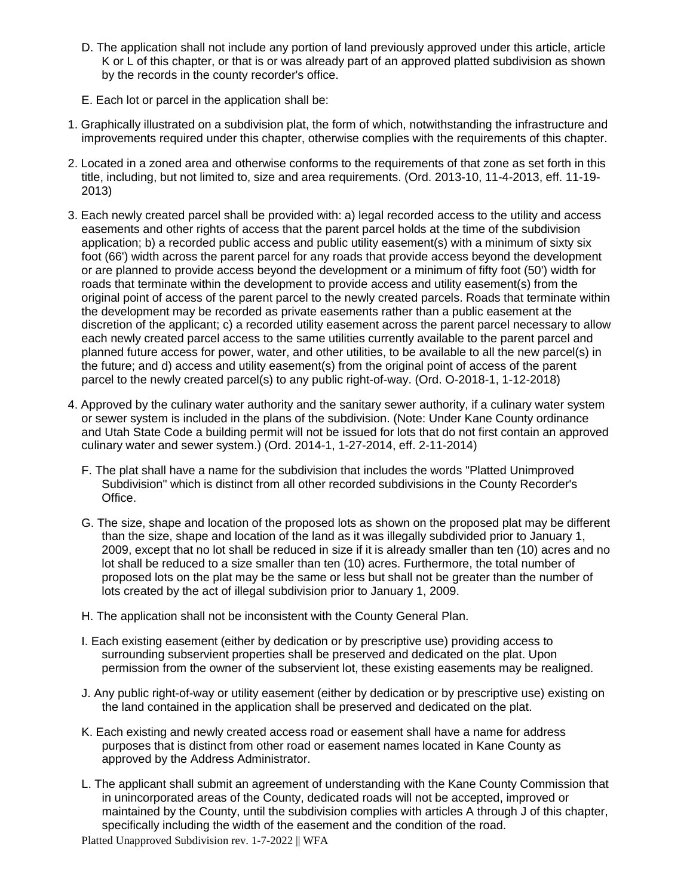- D. The application shall not include any portion of land previously approved under this article, article K or L of this chapter, or that is or was already part of an approved platted subdivision as shown by the records in the county recorder's office.
- E. Each lot or parcel in the application shall be:
- 1. Graphically illustrated on a subdivision plat, the form of which, notwithstanding the infrastructure and improvements required under this chapter, otherwise complies with the requirements of this chapter.
- 2. Located in a zoned area and otherwise conforms to the requirements of that zone as set forth in this title, including, but not limited to, size and area requirements. (Ord. 2013-10, 11-4-2013, eff. 11-19- 2013)
- 3. Each newly created parcel shall be provided with: a) legal recorded access to the utility and access easements and other rights of access that the parent parcel holds at the time of the subdivision application; b) a recorded public access and public utility easement(s) with a minimum of sixty six foot (66') width across the parent parcel for any roads that provide access beyond the development or are planned to provide access beyond the development or a minimum of fifty foot (50') width for roads that terminate within the development to provide access and utility easement(s) from the original point of access of the parent parcel to the newly created parcels. Roads that terminate within the development may be recorded as private easements rather than a public easement at the discretion of the applicant; c) a recorded utility easement across the parent parcel necessary to allow each newly created parcel access to the same utilities currently available to the parent parcel and planned future access for power, water, and other utilities, to be available to all the new parcel(s) in the future; and d) access and utility easement(s) from the original point of access of the parent parcel to the newly created parcel(s) to any public right-of-way. (Ord. O-2018-1, 1-12-2018)
- 4. Approved by the culinary water authority and the sanitary sewer authority, if a culinary water system or sewer system is included in the plans of the subdivision. (Note: Under Kane County ordinance and Utah State Code a building permit will not be issued for lots that do not first contain an approved culinary water and sewer system.) (Ord. 2014-1, 1-27-2014, eff. 2-11-2014)
	- F. The plat shall have a name for the subdivision that includes the words "Platted Unimproved Subdivision" which is distinct from all other recorded subdivisions in the County Recorder's Office.
	- G. The size, shape and location of the proposed lots as shown on the proposed plat may be different than the size, shape and location of the land as it was illegally subdivided prior to January 1, 2009, except that no lot shall be reduced in size if it is already smaller than ten (10) acres and no lot shall be reduced to a size smaller than ten (10) acres. Furthermore, the total number of proposed lots on the plat may be the same or less but shall not be greater than the number of lots created by the act of illegal subdivision prior to January 1, 2009.
	- H. The application shall not be inconsistent with the County General Plan.
	- I. Each existing easement (either by dedication or by prescriptive use) providing access to surrounding subservient properties shall be preserved and dedicated on the plat. Upon permission from the owner of the subservient lot, these existing easements may be realigned.
	- J. Any public right-of-way or utility easement (either by dedication or by prescriptive use) existing on the land contained in the application shall be preserved and dedicated on the plat.
	- K. Each existing and newly created access road or easement shall have a name for address purposes that is distinct from other road or easement names located in Kane County as approved by the Address Administrator.
	- L. The applicant shall submit an agreement of understanding with the Kane County Commission that in unincorporated areas of the County, dedicated roads will not be accepted, improved or maintained by the County, until the subdivision complies with articles A through J of this chapter, specifically including the width of the easement and the condition of the road.

Platted Unapproved Subdivision rev. 1-7-2022 || WFA